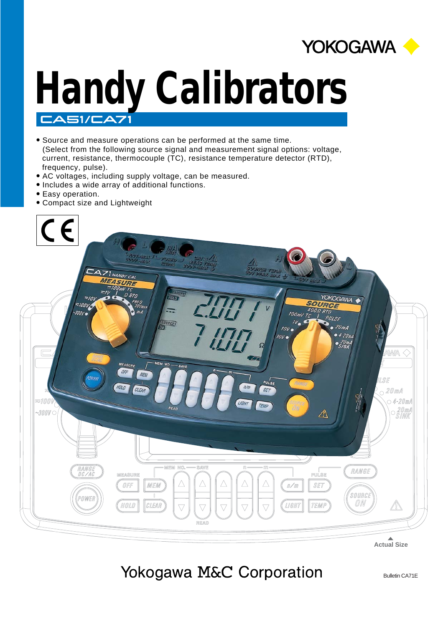

# **Handy Calibrators** CASI/CA7

- Source and measure operations can be performed at the same time. (Select from the following source signal and measurement signal options: voltage, current, resistance, thermocouple (TC), resistance temperature detector (RTD), frequency, pulse).
- AC voltages, including supply voltage, can be measured.
- Includes a wide array of additional functions.
- $\bullet$ Easy operation.
- Compact size and Lightweight



**Actual Size**

## Yokogawa M&C Corporation

Bulletin CA71E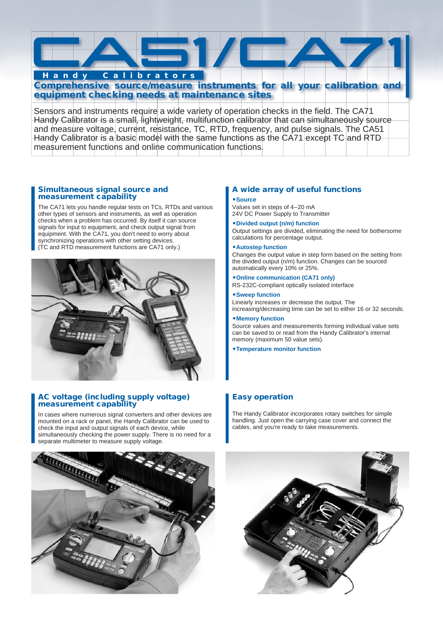

Handy Calibrator is a small, lightweight, multifunction calibrator that can simultaneously source and measure voltage, current, resistance, TC, RTD, frequency, and pulse signals. The CA51 Handy Calibrator is a basic model with the same functions as the CA71 except TC and RTD measurement functions and online communication functions.

#### **Simultaneous signal source and measurement capability**

The CA71 lets you handle regular tests on TCs, RTDs and various other types of sensors and instruments, as well as operation checks when a problem has occurred. By itself it can source signals for input to equipment, and check output signal from equipment. With the CA71, you don't need to worry about synchronizing operations with other setting devices. (TC and RTD measurement functions are CA71 only.)



#### **AC voltage (including supply voltage) measurement capability**

In cases where numerous signal converters and other devices are mounted on a rack or panel, the Handy Calibrator can be used to check the input and output signals of each device, while simultaneously checking the power supply. There is no need for a separate multimeter to measure supply voltage.

# 

#### **A wide array of useful functions**

#### -**Source**

Values set in steps of 4-20 mA 24V DC Power Supply to Transmitter

#### -**Divided output (n/m) function**

Output settings are divided, eliminating the need for bothersome calculations for percentage output.

#### -**Autostep function**

Changes the output value in step form based on the setting from the divided output (n/m) function. Changes can be sourced automatically every 10% or 25%.

#### -**Online communication (CA71 only)**

RS-232C-compliant optically isolated interface

#### -**Sweep function**

Linearly increases or decrease the output. The increasing/decreasing time can be set to either 16 or 32 seconds.

#### -**Memory function**

Source values and measurements forming individual value sets can be saved to or read from the Handy Calibrator's internal memory (maximum 50 value sets).

#### -**Temperature monitor function**

#### **Easy operation**

The Handy Calibrator incorporates rotary switches for simple handling. Just open the carrying case cover and connect the cables, and you're ready to take measurements.

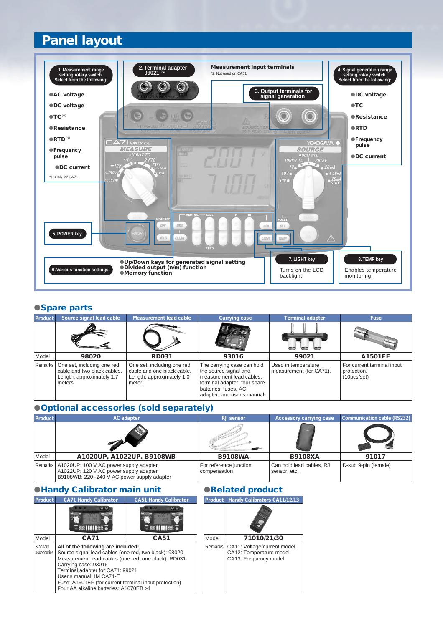### **Panel layout**



#### **Spare parts**

| <b>Product</b> | Source signal lead cable                                                                         | <b>Measurement lead cable</b>                                                                  | <b>Carrying case</b>                                                                                                                                                   | <b>Terminal adapter</b>                        | <b>Fuse</b>                                              |
|----------------|--------------------------------------------------------------------------------------------------|------------------------------------------------------------------------------------------------|------------------------------------------------------------------------------------------------------------------------------------------------------------------------|------------------------------------------------|----------------------------------------------------------|
|                |                                                                                                  |                                                                                                |                                                                                                                                                                        |                                                |                                                          |
| Model          | 98020                                                                                            | <b>RD031</b>                                                                                   | 93016                                                                                                                                                                  | 99021                                          | <b>A1501EF</b>                                           |
| Remarks        | One set, including one red<br>cable and two black cables.<br>Length: approximately 1.7<br>meters | One set, including one red<br>cable and one black cable.<br>Length: approximately 1.0<br>meter | The carrying case can hold<br>the source signal and<br>measurement lead cables,<br>terminal adapter, four spare<br>batteries, fuses, AC<br>adapter, and user's manual. | Used in temperature<br>measurement (for CA71). | For current terminal input<br>protection.<br>(10pcs/sec) |

#### **Optional accessories (sold separately)**

| <b>Product</b> | <b>AC</b> adapter                                                                                                              | <b>RJ</b> sensor                       | <b>Accessory carrying case</b>           | Communication cable (RS232) |  |
|----------------|--------------------------------------------------------------------------------------------------------------------------------|----------------------------------------|------------------------------------------|-----------------------------|--|
|                |                                                                                                                                |                                        |                                          |                             |  |
| Model          | A1020UP, A1022UP, B9108WB                                                                                                      | <b>B9108WA</b>                         | <b>B9108XA</b>                           | 91017                       |  |
| Remarks        | A1020UP: 100 V AC power supply adapter<br>A1022UP: 120 V AC power supply adapter<br>B9108WB: 220-240 V AC power supply adapter | For reference junction<br>compensation | Can hold lead cables, RJ<br>sensor, etc. | D-sub 9-pin (female)        |  |

#### **eHandy Calibrator main unit Calibrator Related product**

| <b>Product</b>          | <b>CA71 Handy Calibrator</b>                                                                                                                                                                                                                                                                                                                  | <b>CA51 Handy Calibrator</b> |  | P |
|-------------------------|-----------------------------------------------------------------------------------------------------------------------------------------------------------------------------------------------------------------------------------------------------------------------------------------------------------------------------------------------|------------------------------|--|---|
|                         | sillile: a                                                                                                                                                                                                                                                                                                                                    | <b>SSHILLS</b>               |  |   |
| Model<br><b>CA71</b>    |                                                                                                                                                                                                                                                                                                                                               | <b>CA51</b>                  |  | N |
| Standard<br>accessories | All of the following are included:<br>Source signal lead cables (one red, two black): 98020<br>Measurement lead cables (one red, one black): RD031<br>Carrying case: 93016<br>Terminal adapter for CA71: 99021<br>User's manual: IM CA71-E<br>Fuse: A1501EF (for current terminal input protection)<br>Four AA alkaline batteries: A1070EB ×4 |                              |  | R |